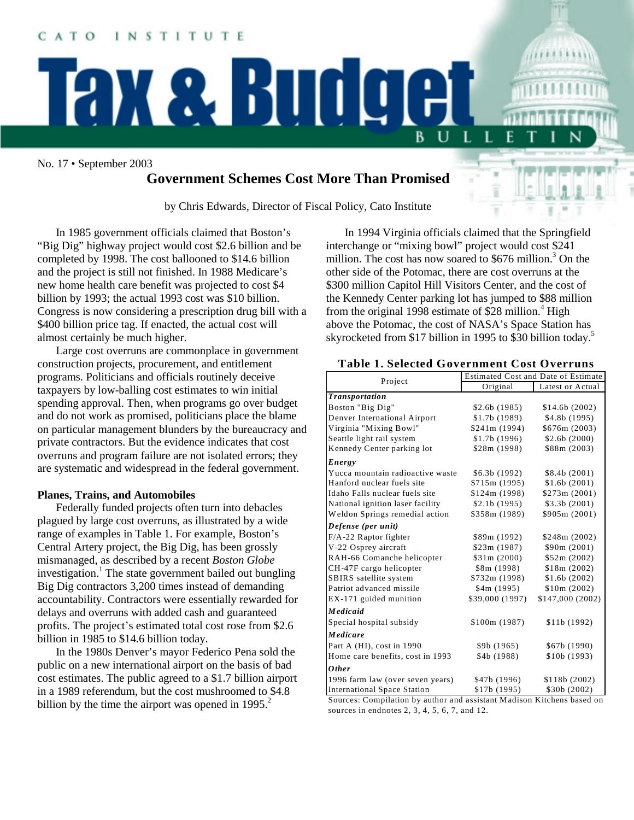#### CATO INSTITUTE

No. 17 • September 2003

# **Government Schemes Cost More Than Promised**

**ax & Budge** 

by Chris Edwards, Director of Fiscal Policy, Cato Institute

In 1985 government officials claimed that Boston's "Big Dig" highway project would cost \$2.6 billion and be completed by 1998. The cost ballooned to \$14.6 billion and the project is still not finished. In 1988 Medicare's new home health care benefit was projected to cost \$4 billion by 1993; the actual 1993 cost was \$10 billion. Congress is now considering a prescription drug bill with a \$400 billion price tag. If enacted, the actual cost will almost certainly be much higher.

Large cost overruns are commonplace in government construction projects, procurement, and entitlement programs. Politicians and officials routinely deceive taxpayers by low-balling cost estimates to win initial spending approval. Then, when programs go over budget and do not work as promised, politicians place the blame on particular management blunders by the bureaucracy and private contractors. But the evidence indicates that cost overruns and program failure are not isolated errors; they are systematic and widespread in the federal government.

## **Planes, Trains, and Automobiles**

Federally funded projects often turn into debacles plagued by large cost overruns, as illustrated by a wide range of examples in Table 1. For example, Boston's Central Artery project, the Big Dig, has been grossly mismanaged, as described by a recent *Boston Globe* investigation.<sup>1</sup> The state government bailed out bungling Big Dig contractors 3,200 times instead of demanding accountability. Contractors were essentially rewarded for delays and overruns with added cash and guaranteed profits. The project's estimated total cost rose from \$2.6 billion in 1985 to \$14.6 billion today.

In the 1980s Denver's mayor Federico Pena sold the public on a new international airport on the basis of bad cost estimates. The public agreed to a \$1.7 billion airport in a 1989 referendum, but the cost mushroomed to \$4.8 billion by the time the airport was opened in  $1995.<sup>2</sup>$ 

In 1994 Virginia officials claimed that the Springfield interchange or "mixing bowl" project would cost \$241 million. The cost has now soared to  $$676$  million.<sup>3</sup> On the other side of the Potomac, there are cost overruns at the \$300 million Capitol Hill Visitors Center, and the cost of the Kennedy Center parking lot has jumped to \$88 million from the original  $1998$  estimate of \$28 million.<sup>4</sup> High above the Potomac, the cost of NASA's Space Station has skyrocketed from \$17 billion in 1995 to \$30 billion today.<sup>5</sup>

U

L

| Project                            | <b>Estimated Cost and Date of Estimate</b> |                  |
|------------------------------------|--------------------------------------------|------------------|
|                                    | Original                                   | Latest or Actual |
| <b>Transportation</b>              |                                            |                  |
| Boston "Big Dig"                   | \$2.6b(1985)                               | \$14.6b (2002)   |
| Denver International Airport       | \$1.7b(1989)                               | \$4.8b (1995)    |
| Virginia "Mixing Bowl"             | \$241m (1994)                              | \$676m (2003)    |
| Seattle light rail system          | \$1.7b(1996)                               | \$2.6b(2000)     |
| Kennedy Center parking lot         | \$28m (1998)                               | \$88m (2003)     |
| Energy                             |                                            |                  |
| Yucca mountain radioactive waste   | \$6.3b (1992)                              | \$8.4b(2001)     |
| Hanford nuclear fuels site         | \$715m(1995)                               | \$1.6b(2001)     |
| Idaho Falls nuclear fuels site     | \$124m (1998)                              | \$273m (2001)    |
| National ignition laser facility   | \$2.1b(1995)                               | \$3.3b(2001)     |
| Weldon Springs remedial action     | \$358m (1989)                              | \$905m (2001)    |
| Defense (per unit)                 |                                            |                  |
| F/A-22 Raptor fighter              | \$89m (1992)                               | \$248m (2002)    |
| V-22 Osprey aircraft               | \$23m(1987)                                | \$90m (2001)     |
| RAH-66 Comanche helicopter         | \$31m (2000)                               | \$52m (2002)     |
| CH-47F cargo helicopter            | \$8m (1998)                                | \$18m (2002)     |
| SBIRS satellite system             | \$732m (1998)                              | \$1.6b(2002)     |
| Patriot advanced missile           | \$4m (1995)                                | \$10m (2002)     |
| EX-171 guided munition             | \$39,000 (1997)                            | \$147,000 (2002) |
| Medicaid                           |                                            |                  |
| Special hospital subsidy           | \$100m(1987)                               | \$11b(1992)      |
| Medicare                           |                                            |                  |
| Part A (HI), cost in 1990          | \$9b(1965)                                 | \$67b (1990)     |
| Home care benefits, cost in 1993   | \$4b (1988)                                | \$10b(1993)      |
| <b>Other</b>                       |                                            |                  |
| 1996 farm law (over seven years)   | \$47b (1996)                               | \$118b (2002)    |
| <b>International Space Station</b> | \$17b (1995)                               | \$30b (2002)     |

# **Table 1. Selected Government Cost Overruns**

Sources: Compilation by author and assistant Madison Kitchens based on sources in endnotes 2, 3, 4, 5, 6, 7, and 12.